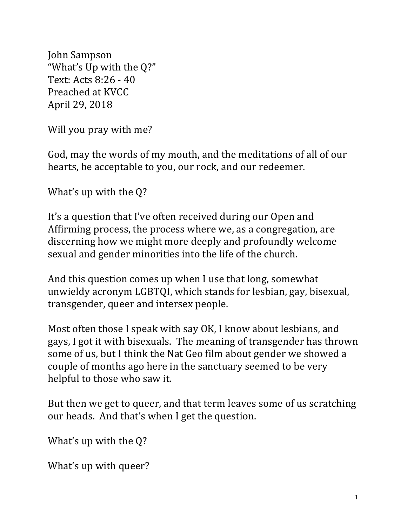John Sampson "What's Up with the Q?" Text: Acts 8:26 - 40 Preached at KVCC April 29, 2018

Will you pray with me?

God, may the words of my mouth, and the meditations of all of our hearts, be acceptable to you, our rock, and our redeemer.

What's up with the  $Q$ ?

It's a question that I've often received during our Open and Affirming process, the process where we, as a congregation, are discerning how we might more deeply and profoundly welcome sexual and gender minorities into the life of the church.

And this question comes up when I use that long, somewhat unwieldy acronym LGBTQI, which stands for lesbian, gay, bisexual, transgender, queer and intersex people.

Most often those I speak with say OK, I know about lesbians, and gays, I got it with bisexuals. The meaning of transgender has thrown some of us, but I think the Nat Geo film about gender we showed a couple of months ago here in the sanctuary seemed to be very helpful to those who saw it.

But then we get to queer, and that term leaves some of us scratching our heads. And that's when I get the question.

What's up with the  $Q$ ?

What's up with queer?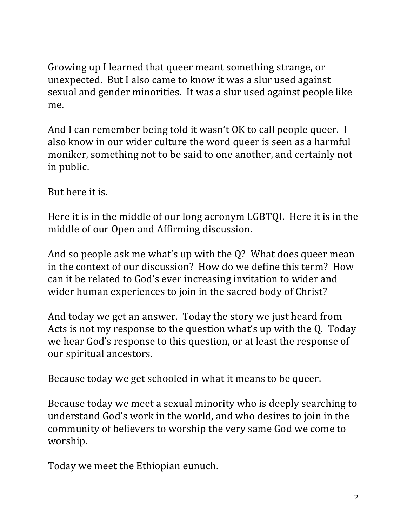Growing up I learned that queer meant something strange, or unexpected. But I also came to know it was a slur used against sexual and gender minorities. It was a slur used against people like me.

And I can remember being told it wasn't OK to call people queer. I also know in our wider culture the word queer is seen as a harmful moniker, something not to be said to one another, and certainly not in public.

But here it is.

Here it is in the middle of our long acronym LGBTQI. Here it is in the middle of our Open and Affirming discussion.

And so people ask me what's up with the  $Q$ ? What does queer mean in the context of our discussion? How do we define this term? How can it be related to God's ever increasing invitation to wider and wider human experiences to join in the sacred body of Christ?

And today we get an answer. Today the story we just heard from Acts is not my response to the question what's up with the Q. Today we hear God's response to this question, or at least the response of our spiritual ancestors.

Because today we get schooled in what it means to be queer.

Because today we meet a sexual minority who is deeply searching to understand God's work in the world, and who desires to join in the community of believers to worship the very same God we come to worship.

Today we meet the Ethiopian eunuch.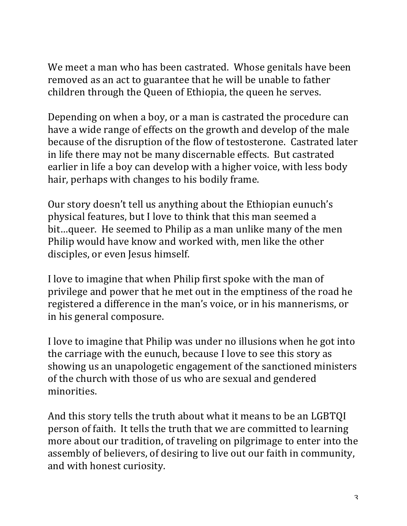We meet a man who has been castrated. Whose genitals have been removed as an act to guarantee that he will be unable to father children through the Queen of Ethiopia, the queen he serves.

Depending on when a boy, or a man is castrated the procedure can have a wide range of effects on the growth and develop of the male because of the disruption of the flow of testosterone. Castrated later in life there may not be many discernable effects. But castrated earlier in life a boy can develop with a higher voice, with less body hair, perhaps with changes to his bodily frame.

Our story doesn't tell us anything about the Ethiopian eunuch's physical features, but I love to think that this man seemed a bit...queer. He seemed to Philip as a man unlike many of the men Philip would have know and worked with, men like the other disciples, or even Jesus himself.

I love to imagine that when Philip first spoke with the man of privilege and power that he met out in the emptiness of the road he registered a difference in the man's voice, or in his mannerisms, or in his general composure.

I love to imagine that Philip was under no illusions when he got into the carriage with the eunuch, because I love to see this story as showing us an unapologetic engagement of the sanctioned ministers of the church with those of us who are sexual and gendered minorities.

And this story tells the truth about what it means to be an LGBTQI person of faith. It tells the truth that we are committed to learning more about our tradition, of traveling on pilgrimage to enter into the assembly of believers, of desiring to live out our faith in community, and with honest curiosity.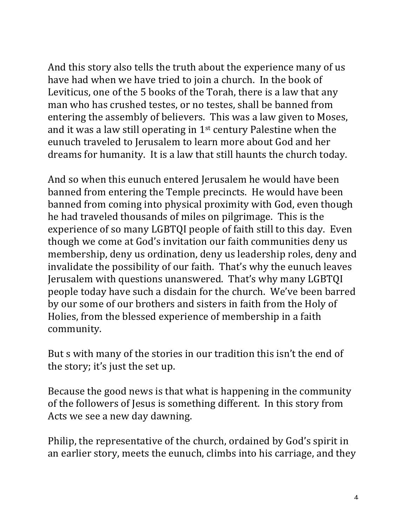And this story also tells the truth about the experience many of us have had when we have tried to join a church. In the book of Leviticus, one of the 5 books of the Torah, there is a law that any man who has crushed testes, or no testes, shall be banned from entering the assembly of believers. This was a law given to Moses, and it was a law still operating in  $1<sup>st</sup>$  century Palestine when the eunuch traveled to Jerusalem to learn more about God and her dreams for humanity. It is a law that still haunts the church today.

And so when this eunuch entered Jerusalem he would have been banned from entering the Temple precincts. He would have been banned from coming into physical proximity with God, even though he had traveled thousands of miles on pilgrimage. This is the experience of so many LGBTQI people of faith still to this day. Even though we come at God's invitation our faith communities deny us membership, deny us ordination, deny us leadership roles, deny and invalidate the possibility of our faith. That's why the eunuch leaves Jerusalem with questions unanswered. That's why many LGBTQI people today have such a disdain for the church. We've been barred by our some of our brothers and sisters in faith from the Holy of Holies, from the blessed experience of membership in a faith community.

But s with many of the stories in our tradition this isn't the end of the story; it's just the set up.

Because the good news is that what is happening in the community of the followers of Jesus is something different. In this story from Acts we see a new day dawning.

Philip, the representative of the church, ordained by God's spirit in an earlier story, meets the eunuch, climbs into his carriage, and they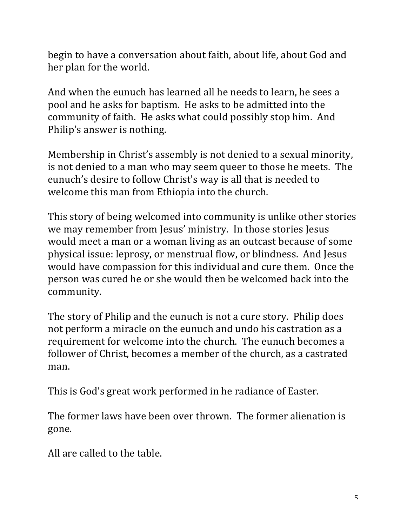begin to have a conversation about faith, about life, about God and her plan for the world.

And when the eunuch has learned all he needs to learn, he sees a pool and he asks for baptism. He asks to be admitted into the community of faith. He asks what could possibly stop him. And Philip's answer is nothing.

Membership in Christ's assembly is not denied to a sexual minority, is not denied to a man who may seem queer to those he meets. The eunuch's desire to follow Christ's way is all that is needed to welcome this man from Ethiopia into the church.

This story of being welcomed into community is unlike other stories we may remember from Jesus' ministry. In those stories Jesus would meet a man or a woman living as an outcast because of some physical issue: leprosy, or menstrual flow, or blindness. And Jesus would have compassion for this individual and cure them. Once the person was cured he or she would then be welcomed back into the community.

The story of Philip and the eunuch is not a cure story. Philip does not perform a miracle on the eunuch and undo his castration as a requirement for welcome into the church. The eunuch becomes a follower of Christ, becomes a member of the church, as a castrated man.

This is God's great work performed in he radiance of Easter.

The former laws have been over thrown. The former alienation is gone.

All are called to the table.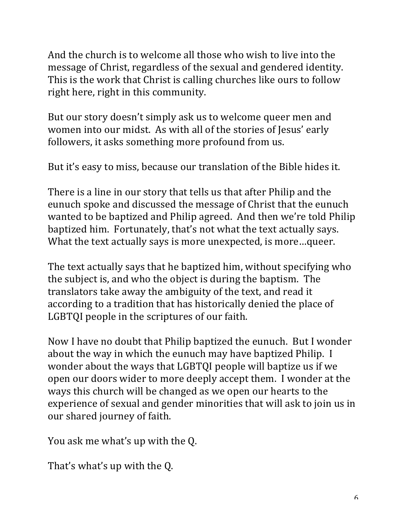And the church is to welcome all those who wish to live into the message of Christ, regardless of the sexual and gendered identity. This is the work that Christ is calling churches like ours to follow right here, right in this community.

But our story doesn't simply ask us to welcome queer men and women into our midst. As with all of the stories of Jesus' early followers, it asks something more profound from us.

But it's easy to miss, because our translation of the Bible hides it.

There is a line in our story that tells us that after Philip and the eunuch spoke and discussed the message of Christ that the eunuch wanted to be baptized and Philip agreed. And then we're told Philip baptized him. Fortunately, that's not what the text actually says. What the text actually says is more unexpected, is more...queer.

The text actually says that he baptized him, without specifying who the subject is, and who the object is during the baptism. The translators take away the ambiguity of the text, and read it according to a tradition that has historically denied the place of LGBTQI people in the scriptures of our faith.

Now I have no doubt that Philip baptized the eunuch. But I wonder about the way in which the eunuch may have baptized Philip. I wonder about the ways that LGBTQI people will baptize us if we open our doors wider to more deeply accept them. I wonder at the ways this church will be changed as we open our hearts to the experience of sexual and gender minorities that will ask to join us in our shared journey of faith.

You ask me what's up with the Q.

That's what's up with the Q.